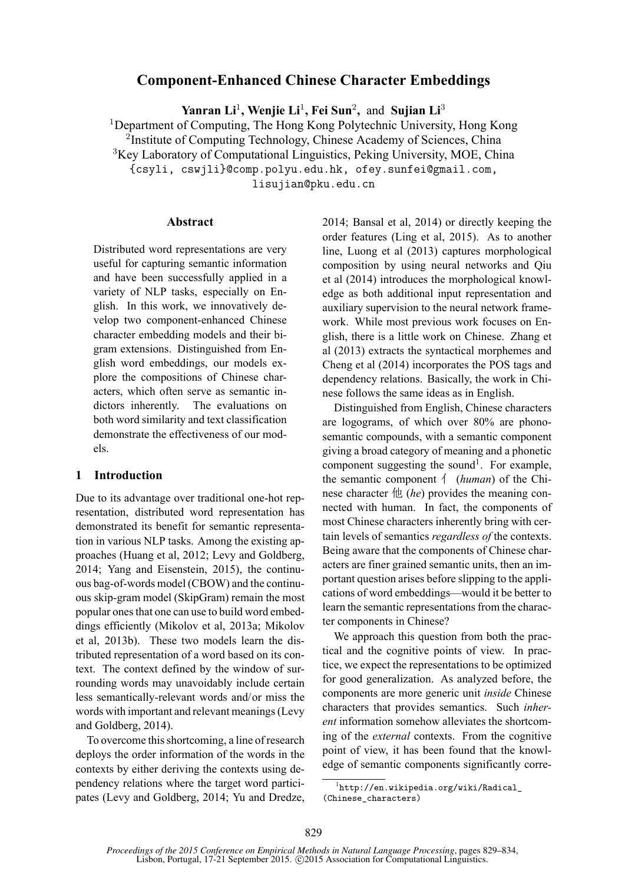# **Component-Enhanced Chinese Character Embeddings**

**Yanran Li**<sup>1</sup> **, Wenjie Li**<sup>1</sup> **, Fei Sun**<sup>2</sup> **,** and **Sujian Li**<sup>3</sup>

<sup>1</sup>Department of Computing, The Hong Kong Polytechnic University, Hong Kong

<sup>2</sup>Institute of Computing Technology, Chinese Academy of Sciences, China

<sup>3</sup>Key Laboratory of Computational Linguistics, Peking University, MOE, China

{csyli, cswjli}@comp.polyu.edu.hk, ofey.sunfei@gmail.com,

lisujian@pku.edu.cn

### **Abstract**

Distributed word representations are very useful for capturing semantic information and have been successfully applied in a variety of NLP tasks, especially on English. In this work, we innovatively develop two component-enhanced Chinese character embedding models and their bigram extensions. Distinguished from English word embeddings, our models explore the compositions of Chinese characters, which often serve as semantic indictors inherently. The evaluations on both word similarity and text classification demonstrate the effectiveness of our models.

## **1 Introduction**

Due to its advantage over traditional one-hot representation, distributed word representation has demonstrated its benefit for semantic representation in various NLP tasks. Among the existing approaches (Huang et al, 2012; Levy and Goldberg, 2014; Yang and Eisenstein, 2015), the continuous bag-of-words model (CBOW) and the continuous skip-gram model (SkipGram) remain the most popular ones that one can use to build word embeddings efficiently (Mikolov et al, 2013a; Mikolov et al, 2013b). These two models learn the distributed representation of a word based on its context. The context defined by the window of surrounding words may unavoidably include certain less semantically-relevant words and/or miss the words with important and relevant meanings (Levy and Goldberg, 2014).

To overcome this shortcoming, a line of research deploys the order information of the words in the contexts by either deriving the contexts using dependency relations where the target word participates (Levy and Goldberg, 2014; Yu and Dredze, 2014; Bansal et al, 2014) or directly keeping the order features (Ling et al, 2015). As to another line, Luong et al (2013) captures morphological composition by using neural networks and Qiu et al (2014) introduces the morphological knowledge as both additional input representation and auxiliary supervision to the neural network framework. While most previous work focuses on English, there is a little work on Chinese. Zhang et al (2013) extracts the syntactical morphemes and Cheng et al (2014) incorporates the POS tags and dependency relations. Basically, the work in Chinese follows the same ideas as in English.

Distinguished from English, Chinese characters are logograms, of which over 80% are phonosemantic compounds, with a semantic component giving a broad category of meaning and a phonetic component suggesting the sound<sup>1</sup>. For example, the semantic component 亻 (*human*) of the Chinese character 他 (*he*) provides the meaning connected with human. In fact, the components of most Chinese characters inherently bring with certain levels of semantics *regardless of* the contexts. Being aware that the components of Chinese characters are finer grained semantic units, then an important question arises before slipping to the applications of word embeddings—would it be better to learn the semantic representations from the character components in Chinese?

We approach this question from both the practical and the cognitive points of view. In practice, we expect the representations to be optimized for good generalization. As analyzed before, the components are more generic unit *inside* Chinese characters that provides semantics. Such *inherent* information somehow alleviates the shortcoming of the *external* contexts. From the cognitive point of view, it has been found that the knowledge of semantic components significantly corre-

<sup>1</sup> http://en.wikipedia.org/wiki/Radical\_ (Chinese\_characters)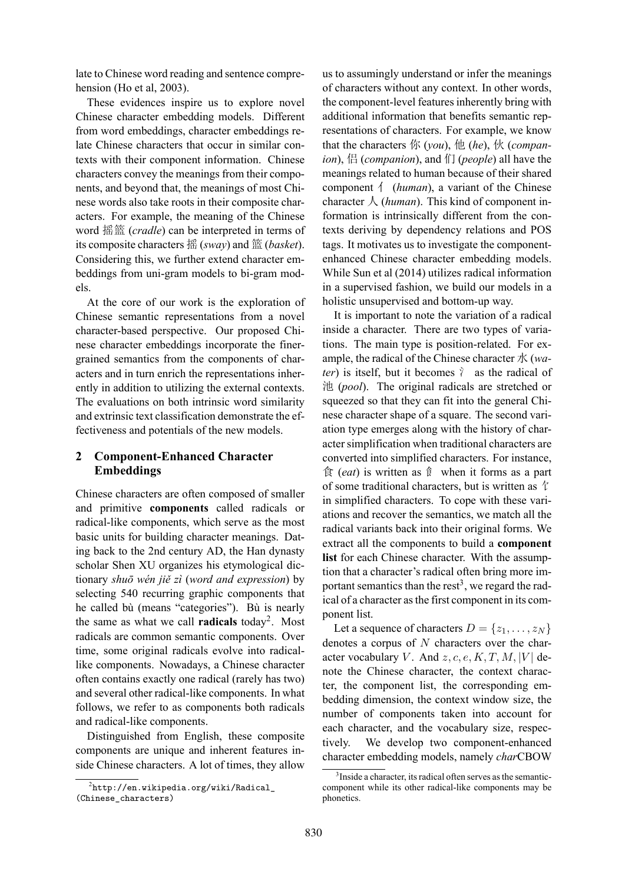late to Chinese word reading and sentence comprehension (Ho et al, 2003).

These evidences inspire us to explore novel Chinese character embedding models. Different from word embeddings, character embeddings relate Chinese characters that occur in similar contexts with their component information. Chinese characters convey the meanings from their components, and beyond that, the meanings of most Chinese words also take roots in their composite characters. For example, the meaning of the Chinese word 摇篮 (*cradle*) can be interpreted in terms of its composite characters 摇 (*sway*) and 篮 (*basket*). Considering this, we further extend character embeddings from uni-gram models to bi-gram models.

At the core of our work is the exploration of Chinese semantic representations from a novel character-based perspective. Our proposed Chinese character embeddings incorporate the finergrained semantics from the components of characters and in turn enrich the representations inherently in addition to utilizing the external contexts. The evaluations on both intrinsic word similarity and extrinsic text classification demonstrate the effectiveness and potentials of the new models.

## **2 Component-Enhanced Character Embeddings**

Chinese characters are often composed of smaller and primitive **components** called radicals or radical-like components, which serve as the most basic units for building character meanings. Dating back to the 2nd century AD, the Han dynasty scholar Shen XU organizes his etymological dictionary *shuō wén jiě zì* (*word and expression*) by selecting 540 recurring graphic components that he called bù (means "categories"). Bù is nearly the same as what we call **radicals** today<sup>2</sup> . Most radicals are common semantic components. Over time, some original radicals evolve into radicallike components. Nowadays, a Chinese character often contains exactly one radical (rarely has two) and several other radical-like components. In what follows, we refer to as components both radicals and radical-like components.

Distinguished from English, these composite components are unique and inherent features inside Chinese characters. A lot of times, they allow

us to assumingly understand or infer the meanings of characters without any context. In other words, the component-level features inherently bring with additional information that benefits semantic representations of characters. For example, we know that the characters 你 (*you*), 他 (*he*), 伙 (*companion*), 侣 (*companion*), and 们 (*people*) all have the meanings related to human because of their shared component 亻 (*human*), a variant of the Chinese character 人 (*human*). This kind of component information is intrinsically different from the contexts deriving by dependency relations and POS tags. It motivates us to investigate the componentenhanced Chinese character embedding models. While Sun et al (2014) utilizes radical information in a supervised fashion, we build our models in a holistic unsupervised and bottom-up way.

It is important to note the variation of a radical inside a character. There are two types of variations. The main type is position-related. For example, the radical of the Chinese character 水 (*water*) is itself, but it becomes  $\gamma$  as the radical of 池 (*pool*). The original radicals are stretched or squeezed so that they can fit into the general Chinese character shape of a square. The second variation type emerges along with the history of character simplification when traditional characters are converted into simplified characters. For instance, 食 (*eat*) is written as 飠 when it forms as a part of some traditional characters, but is written as  $\hat{\tau}$ in simplified characters. To cope with these variations and recover the semantics, we match all the radical variants back into their original forms. We extract all the components to build a **component list** for each Chinese character. With the assumption that a character's radical often bring more important semantics than the rest<sup>3</sup>, we regard the radical of a character as the first component in its component list.

Let a sequence of characters  $D = \{z_1, \ldots, z_N\}$ denotes a corpus of  $N$  characters over the character vocabulary V. And  $z, c, e, K, T, M, |V|$  denote the Chinese character, the context character, the component list, the corresponding embedding dimension, the context window size, the number of components taken into account for each character, and the vocabulary size, respectively. We develop two component-enhanced character embedding models, namely *char*CBOW

 $^2$ http://en.wikipedia.org/wiki/Radical\_ (Chinese\_characters)

<sup>3</sup> Inside a character, its radical often serves as the semanticcomponent while its other radical-like components may be phonetics.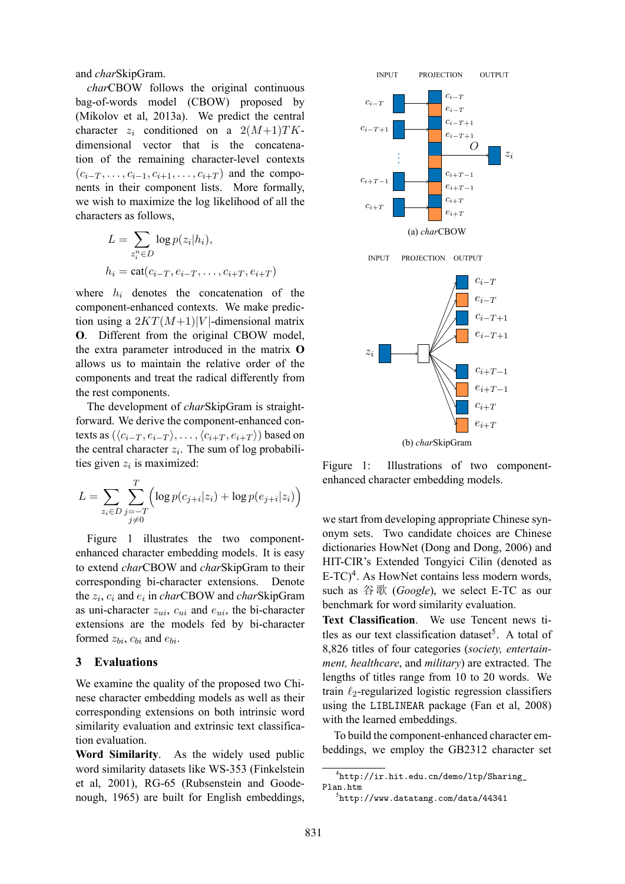and *char*SkipGram.

*char*CBOW follows the original continuous bag-of-words model (CBOW) proposed by (Mikolov et al, 2013a). We predict the central character  $z_i$  conditioned on a  $2(M+1)TK$ dimensional vector that is the concatenation of the remaining character-level contexts  $(c_{i-T}, \ldots, c_{i-1}, c_{i+1}, \ldots, c_{i+T})$  and the components in their component lists. More formally, we wish to maximize the log likelihood of all the characters as follows,

$$
L = \sum_{z_i^n \in D} \log p(z_i|h_i),
$$
  
\n
$$
h_i = \text{cat}(c_{i-T}, e_{i-T}, \dots, c_{i+T}, e_{i+T})
$$

where  $h_i$  denotes the concatenation of the component-enhanced contexts. We make prediction using a  $2KT(M+1)|V|$ -dimensional matrix **O**. Different from the original CBOW model, the extra parameter introduced in the matrix **O** allows us to maintain the relative order of the components and treat the radical differently from the rest components.

The development of *char*SkipGram is straightforward. We derive the component-enhanced contexts as  $(\langle c_{i-T}, e_{i-T} \rangle, \ldots, \langle c_{i+T}, e_{i+T} \rangle)$  based on the central character  $z_i$ . The sum of log probabilities given  $z_i$  is maximized:

$$
L = \sum_{z_i \in D} \sum_{\substack{j=-T \ j \neq 0}}^{T} \left( \log p(c_{j+i}|z_i) + \log p(e_{j+i}|z_i) \right)
$$

Figure 1 illustrates the two componentenhanced character embedding models. It is easy to extend *char*CBOW and *char*SkipGram to their corresponding bi-character extensions. Denote the  $z_i$ ,  $c_i$  and  $e_i$  in *char*CBOW and *char*SkipGram as uni-character  $z_{ui}$ ,  $c_{ui}$  and  $e_{ui}$ , the bi-character extensions are the models fed by bi-character formed  $z_{bi}$ ,  $c_{bi}$  and  $e_{bi}$ .

## **3 Evaluations**

We examine the quality of the proposed two Chinese character embedding models as well as their corresponding extensions on both intrinsic word similarity evaluation and extrinsic text classification evaluation.

**Word Similarity**. As the widely used public word similarity datasets like WS-353 (Finkelstein et al, 2001), RG-65 (Rubsenstein and Goodenough, 1965) are built for English embeddings,



Figure 1: Illustrations of two componentenhanced character embedding models.

we start from developing appropriate Chinese synonym sets. Two candidate choices are Chinese dictionaries HowNet (Dong and Dong, 2006) and HIT-CIR's Extended Tongyici Cilin (denoted as  $E-TC$ <sup>4</sup>. As HowNet contains less modern words, such as 谷歌 (*Google*), we select E-TC as our benchmark for word similarity evaluation.

**Text Classification**. We use Tencent news titles as our text classification dataset<sup>5</sup>. A total of 8,826 titles of four categories (*society, entertainment, healthcare*, and *military*) are extracted. The lengths of titles range from 10 to 20 words. We train  $\ell_2$ -regularized logistic regression classifiers using the LIBLINEAR package (Fan et al, 2008) with the learned embeddings.

To build the component-enhanced character embeddings, we employ the GB2312 character set

<sup>4</sup> http://ir.hit.edu.cn/demo/ltp/Sharing\_ Plan.htm

<sup>5</sup> http://www.datatang.com/data/44341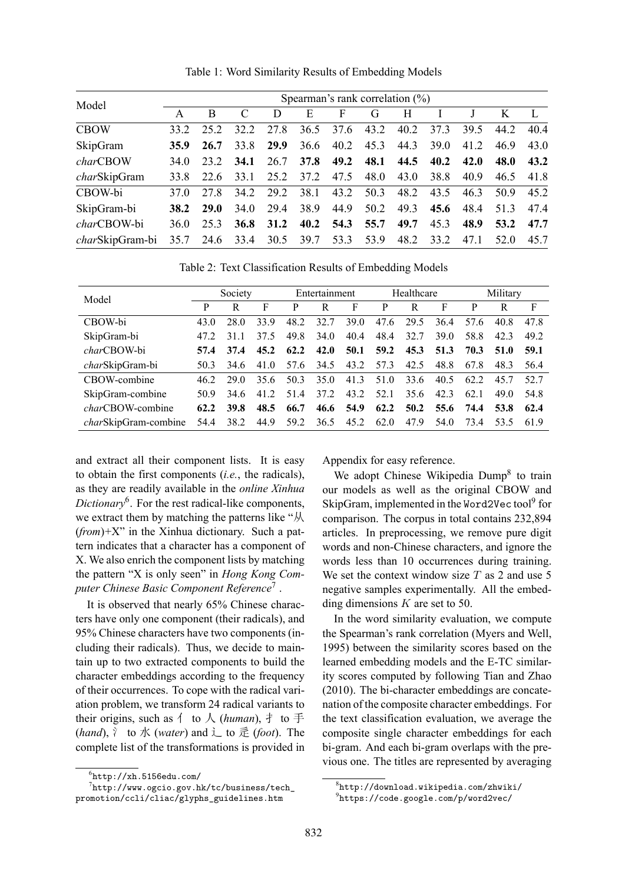| Model                   | Spearman's rank correlation $(\%)$ |             |      |      |             |                |      |      |             |      |      |      |
|-------------------------|------------------------------------|-------------|------|------|-------------|----------------|------|------|-------------|------|------|------|
|                         | A                                  | B           |      | D    | E           | F              | G    | H    |             |      | K    |      |
| <b>CBOW</b>             | 33.2                               | 25 2        | 32.2 | 27.8 | 36.5        | 37.6           | 43.2 | 40.2 | 37.3        | 39.5 | 44.2 | 40.4 |
| SkipGram                | <b>35.9</b>                        | 26.7        | 33.8 | 29.9 | 36.6        | 40.2           | 45.3 | 44.3 | <b>39.0</b> | 41.2 | 46.9 | 43.0 |
| charCBOW                | 34 O                               | 23 2        | 34.1 | 26.7 | <b>37.8</b> | 49.2           | 48.1 | 44.5 | 40.2        | 42.0 | 48.0 | 43.2 |
| charSkipGram            | 33.8                               | 22.6        | 33.1 | 25.2 | 37.2        | 47.5           | 48.0 | 43.0 | 38.8        | 40.9 | 46.5 | 41.8 |
| CBOW-bi                 | 37 O                               | 27.8        | 34.2 | 29.2 | 38.1        | 43.2           | 50.3 | 48.2 | 43.5        | 46.3 | 50.9 | 45.2 |
| SkipGram-bi             | 38.2                               | <b>29.0</b> | 34.0 | 29.4 | 38.9        | 44.9           | 50.2 | 49.3 | 45.6        | 48.4 | 51.3 | 47.4 |
| charCBOW-bi             | 36 O                               | 253         | 36.8 | 31.2 | 40.2        | 54.3           | 55.7 | 49.7 | 45.3        | 48.9 | 53.2 | 47.7 |
| <i>char</i> SkipGram-bi | 35.7                               | 24.6        | 33.4 |      |             | 30.5 39.7 53.3 | 53.9 | 48.2 | 33.2        | 47.1 | 52.0 | 45.7 |

Table 1: Word Similarity Results of Embedding Models

Table 2: Text Classification Results of Embedding Models

| Model                        | Society |             |      | Entertainment |      |           | Healthcare |           |      | Military |      |      |
|------------------------------|---------|-------------|------|---------------|------|-----------|------------|-----------|------|----------|------|------|
|                              | P       | R           | F    | P             | R    | F         | P          | R         | F    | P        | R    | F    |
| CBOW-bi                      | 43 Q    | 28.0        | 33.9 | 48.2          | 32.7 | 39.0      | 47.6       | 29.5      | 36.4 | 57.6     | 40.8 | 478  |
| SkipGram-bi                  | 47 2    | 311         | 37.5 | 49.8          | 34.0 | 40.4      | 48.4       | 32.7      | 39.0 | 58.8     | 423  | 49.2 |
| <i>char</i> CBOW-bi          | 57.4    | 37.4        | 45.2 | 62.2          | 42.0 | 50.1      |            | 59.2 45.3 | 51.3 | 70.3     | 51.0 | 59.1 |
| charSkipGram-bi              | 50.3    | 34.6        | 41.0 | 57.6          | 34.5 | 43.2      | 57.3       | 42.5      | 48.8 | 67.8     | 48.3 | 56.4 |
| CBOW-combine                 | 46.2    | 29 O        | 35.6 | 50.3          | 35.0 | 41.3      | 51.0       | 33.6      | 40.5 | 62.2     | 45.7 | 52.7 |
| SkipGram-combine             | 50.9    | 34.6        | 41.2 | 51.4          | 37.2 | 43.2      | 52.1       | 35.6      | 42.3 | 62.1     | 49 Q | 548  |
| <i>char</i> CBOW-combine     | 62.2    | <b>39.8</b> | 48.5 | 66.7          |      | 46.6 54.9 | 62.2       | 50.2      | 55.6 | 74.4     | 53.8 | 62.4 |
| <i>char</i> SkipGram-combine | 54.4    | 38.2        | 44.9 | 59.2          | 36.5 | 45.2      | 62.0       | 47.9      | 54.0 | 73.4     | 53.5 | 619  |

and extract all their component lists. It is easy to obtain the first components (*i.e.*, the radicals), as they are readily available in the *online Xinhua Dictionary*<sup>6</sup> . For the rest radical-like components, we extract them by matching the patterns like "从 (*from*)+X" in the Xinhua dictionary. Such a pattern indicates that a character has a component of X. We also enrich the component lists by matching the pattern "X is only seen" in *Hong Kong Computer Chinese Basic Component Reference*<sup>7</sup> .

It is observed that nearly 65% Chinese characters have only one component (their radicals), and 95% Chinese characters have two components (including their radicals). Thus, we decide to maintain up to two extracted components to build the character embeddings according to the frequency of their occurrences. To cope with the radical variation problem, we transform 24 radical variants to their origins, such as  $\uparrow$  to  $\downarrow$  (*human*),  $\uparrow$  to 手  $(hand)$ ,  $\uparrow$  to 水 (*water*) and  $\downarrow$  to 辵 (*foot*). The complete list of the transformations is provided in

 $^{7}$ http://www.ogcio.gov.hk/tc/business/tech\_ promotion/ccli/cliac/glyphs\_guidelines.htm

Appendix for easy reference.

We adopt Chinese Wikipedia Dump<sup>8</sup> to train our models as well as the original CBOW and SkipGram, implemented in the Word2Vec tool<sup>9</sup> for comparison. The corpus in total contains 232,894 articles. In preprocessing, we remove pure digit words and non-Chinese characters, and ignore the words less than 10 occurrences during training. We set the context window size  $T$  as 2 and use 5 negative samples experimentally. All the embedding dimensions  $K$  are set to 50.

In the word similarity evaluation, we compute the Spearman's rank correlation (Myers and Well, 1995) between the similarity scores based on the learned embedding models and the E-TC similarity scores computed by following Tian and Zhao (2010). The bi-character embeddings are concatenation of the composite character embeddings. For the text classification evaluation, we average the composite single character embeddings for each bi-gram. And each bi-gram overlaps with the previous one. The titles are represented by averaging

 $^6$ http://xh.5156edu.com/

<sup>8</sup> http://download.wikipedia.com/zhwiki/

<sup>9</sup> https://code.google.com/p/word2vec/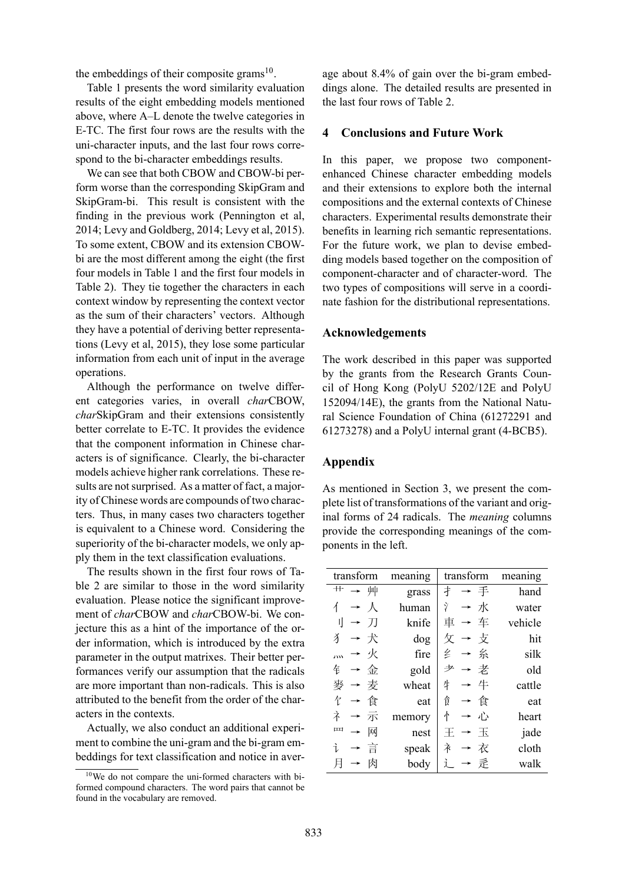the embeddings of their composite grams $10$ .

Table 1 presents the word similarity evaluation results of the eight embedding models mentioned above, where A–L denote the twelve categories in E-TC. The first four rows are the results with the uni-character inputs, and the last four rows correspond to the bi-character embeddings results.

We can see that both CBOW and CBOW-bi perform worse than the corresponding SkipGram and SkipGram-bi. This result is consistent with the finding in the previous work (Pennington et al, 2014; Levy and Goldberg, 2014; Levy et al, 2015). To some extent, CBOW and its extension CBOWbi are the most different among the eight (the first four models in Table 1 and the first four models in Table 2). They tie together the characters in each context window by representing the context vector as the sum of their characters' vectors. Although they have a potential of deriving better representations (Levy et al, 2015), they lose some particular information from each unit of input in the average operations.

Although the performance on twelve different categories varies, in overall *char*CBOW, *char*SkipGram and their extensions consistently better correlate to E-TC. It provides the evidence that the component information in Chinese characters is of significance. Clearly, the bi-character models achieve higher rank correlations. These results are not surprised. As a matter of fact, a majority of Chinese words are compounds of two characters. Thus, in many cases two characters together is equivalent to a Chinese word. Considering the superiority of the bi-character models, we only apply them in the text classification evaluations.

The results shown in the first four rows of Table 2 are similar to those in the word similarity evaluation. Please notice the significant improvement of *char*CBOW and *char*CBOW-bi. We conjecture this as a hint of the importance of the order information, which is introduced by the extra parameter in the output matrixes. Their better performances verify our assumption that the radicals are more important than non-radicals. This is also attributed to the benefit from the order of the characters in the contexts.

Actually, we also conduct an additional experiment to combine the uni-gram and the bi-gram embeddings for text classification and notice in aver-

age about 8.4% of gain over the bi-gram embeddings alone. The detailed results are presented in the last four rows of Table 2.

## **4 Conclusions and Future Work**

In this paper, we propose two componentenhanced Chinese character embedding models and their extensions to explore both the internal compositions and the external contexts of Chinese characters. Experimental results demonstrate their benefits in learning rich semantic representations. For the future work, we plan to devise embedding models based together on the composition of component-character and of character-word. The two types of compositions will serve in a coordinate fashion for the distributional representations.

### **Acknowledgements**

The work described in this paper was supported by the grants from the Research Grants Council of Hong Kong (PolyU 5202/12E and PolyU 152094/14E), the grants from the National Natural Science Foundation of China (61272291 and 61273278) and a PolyU internal grant (4-BCB5).

### **Appendix**

As mentioned in Section 3, we present the complete list of transformations of the variant and original forms of 24 radicals. The *meaning* columns provide the corresponding meanings of the components in the left.

| transform             | meaning | transform | meaning |  |  |
|-----------------------|---------|-----------|---------|--|--|
| 艹 → 艸                 | grass   | 扌 → 手     | hand    |  |  |
| $\rightarrow \Lambda$ | human   | Ŷ<br>→水   | water   |  |  |
| 刂 → 刀                 | knife   | →车<br>車   | vehicle |  |  |
| 犭 → 犬                 | dog     | 攵 → 攴     | hit     |  |  |
| 灬 → 火                 | fire    | 纟 → 糸     | silk    |  |  |
| 钅 → 金                 | gold    | → 老<br>耂  | old     |  |  |
| 麥 → 麦                 | wheat   | 生<br>→牛   | cattle  |  |  |
| 饣 → 食                 | eat     | 飠<br>→ 食  | eat     |  |  |
| 衤 → 示                 | memory  | 忄<br>→ 心  | heart   |  |  |
| 皿<br>网                | nest    | → 玉       | jade    |  |  |
| →言<br>ì               | speak   | 衤<br>→ 衣  | cloth   |  |  |
| 肉<br>$\rightarrow$    | body    | → 辵       | walk    |  |  |

<sup>10</sup>We do not compare the uni-formed characters with biformed compound characters. The word pairs that cannot be found in the vocabulary are removed.